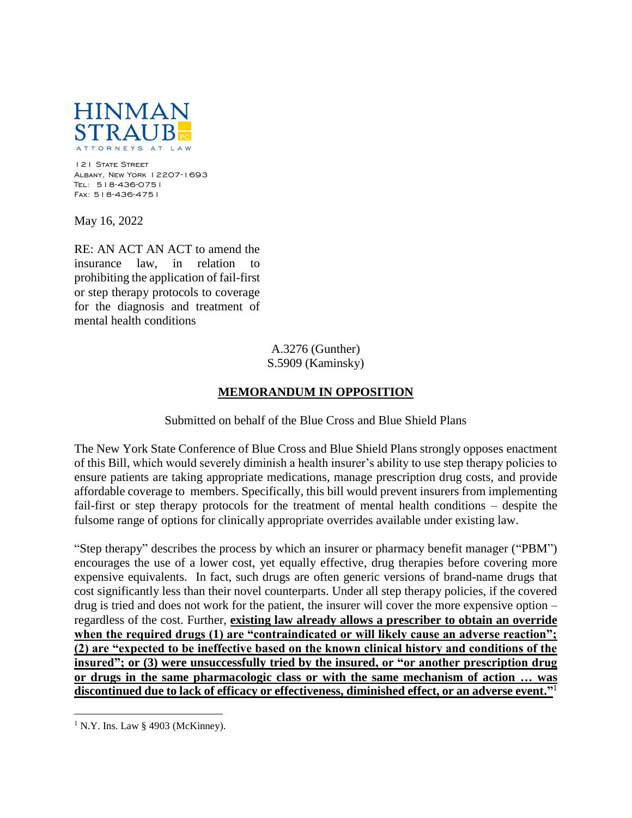

121 STATE STREET Albany, New York 12207-1693 Tel: 518-436-0751 Fax: 518-436-4751

May 16, 2022

RE: AN ACT AN ACT to amend the insurance law, in relation to prohibiting the application of fail-first or step therapy protocols to coverage for the diagnosis and treatment of mental health conditions

> A.3276 (Gunther) S.5909 (Kaminsky)

## **MEMORANDUM IN OPPOSITION**

Submitted on behalf of the Blue Cross and Blue Shield Plans

The New York State Conference of Blue Cross and Blue Shield Plans strongly opposes enactment of this Bill, which would severely diminish a health insurer's ability to use step therapy policies to ensure patients are taking appropriate medications, manage prescription drug costs, and provide affordable coverage to members. Specifically, this bill would prevent insurers from implementing fail-first or step therapy protocols for the treatment of mental health conditions – despite the fulsome range of options for clinically appropriate overrides available under existing law.

"Step therapy" describes the process by which an insurer or pharmacy benefit manager ("PBM") encourages the use of a lower cost, yet equally effective, drug therapies before covering more expensive equivalents. In fact, such drugs are often generic versions of brand-name drugs that cost significantly less than their novel counterparts. Under all step therapy policies, if the covered drug is tried and does not work for the patient, the insurer will cover the more expensive option – regardless of the cost. Further, **existing law already allows a prescriber to obtain an override**  when the required drugs (1) are "contraindicated or will likely cause an adverse reaction"; **(2) are "expected to be ineffective based on the known clinical history and conditions of the insured"; or (3) were unsuccessfully tried by the insured, or "or another prescription drug or drugs in the same pharmacologic class or with the same mechanism of action … was discontinued due to lack of efficacy or effectiveness, diminished effect, or an adverse event."**<sup>1</sup>

 $\overline{a}$ 

 $1$  N.Y. Ins. Law § 4903 (McKinney).